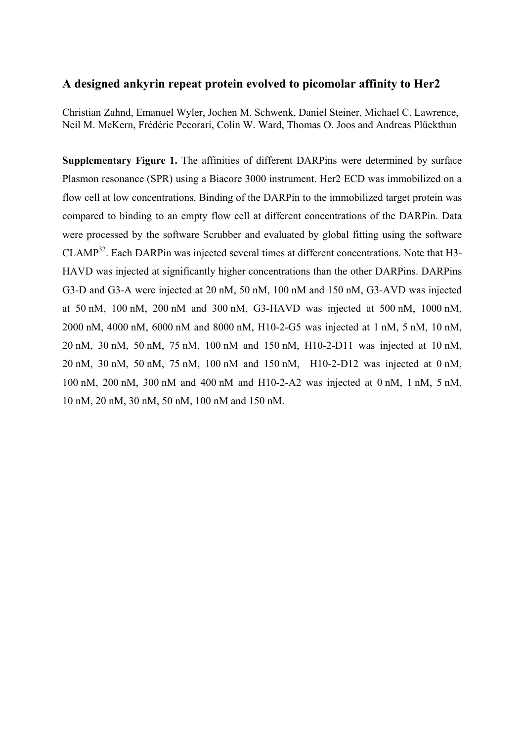## **A designed ankyrin repeat protein evolved to picomolar affinity to Her2**

Christian Zahnd, Emanuel Wyler, Jochen M. Schwenk, Daniel Steiner, Michael C. Lawrence, Neil M. McKern, Frédéric Pecorari, Colin W. Ward, Thomas O. Joos and Andreas Plückthun

**Supplementary Figure 1.** The affinities of different DARPins were determined by surface Plasmon resonance (SPR) using a Biacore 3000 instrument. Her2 ECD was immobilized on a flow cell at low concentrations. Binding of the DARPin to the immobilized target protein was compared to binding to an empty flow cell at different concentrations of the DARPin. Data were processed by the software Scrubber and evaluated by global fitting using the software  $CLAMP<sup>32</sup>$ . Each DARPin was injected several times at different concentrations. Note that H3-HAVD was injected at significantly higher concentrations than the other DARPins. DARPins G3-D and G3-A were injected at 20 nM, 50 nM, 100 nM and 150 nM, G3-AVD was injected at 50 nM, 100 nM, 200 nM and 300 nM, G3-HAVD was injected at 500 nM, 1000 nM, 2000 nM, 4000 nM, 6000 nM and 8000 nM, H10-2-G5 was injected at 1 nM, 5 nM, 10 nM, 20 nM, 30 nM, 50 nM, 75 nM, 100 nM and 150 nM, H10-2-D11 was injected at 10 nM, 20 nM, 30 nM, 50 nM, 75 nM, 100 nM and 150 nM, H10-2-D12 was injected at 0 nM, 100 nM, 200 nM, 300 nM and 400 nM and H10-2-A2 was injected at 0 nM, 1 nM, 5 nM, 10 nM, 20 nM, 30 nM, 50 nM, 100 nM and 150 nM.